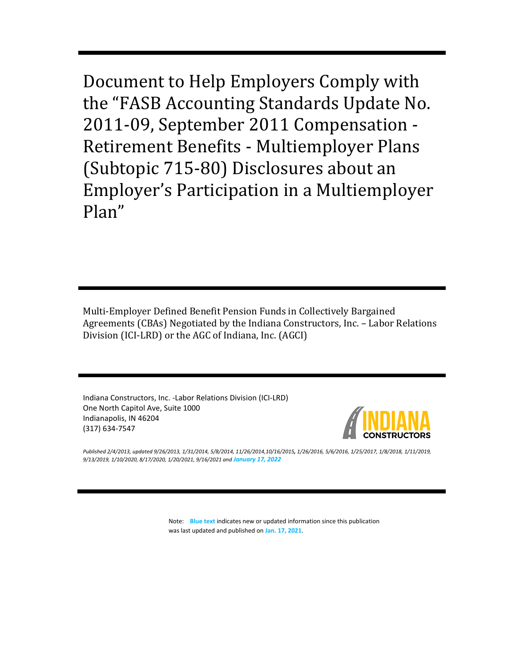Document to Help Employers Comply with the "FASB Accounting Standards Update No. 2011-09, September 2011 Compensation - Retirement Benefits - Multiemployer Plans (Subtopic 715-80) Disclosures about an Employer's Participation in a Multiemployer Plan"

Multi-Employer Defined Benefit Pension Funds in Collectively Bargained Agreements (CBAs) Negotiated by the Indiana Constructors, Inc. – Labor Relations Division (ICI-LRD) or the AGC of Indiana, Inc. (AGCI)

Indiana Constructors, Inc. -Labor Relations Division (ICI-LRD) One North Capitol Ave, Suite 1000 Indianapolis, IN 46204 (317) 634-7547



*Published 2/4/2013, updated 9/26/2013, 1/31/2014, 5/8/2014, 11/26/2014,10/16/2015, 1/26/2016, 5/6/2016, 1/25/2017, 1/8/2018, 1/11/2019, 9/13/2019, 1/10/2020, 8/17/2020, 1/20/2021, 9/16/2021 and January 17, 2022*

> Note: **Blue text** indicates new or updated information since this publication was last updated and published on **Jan. 17, 2021**.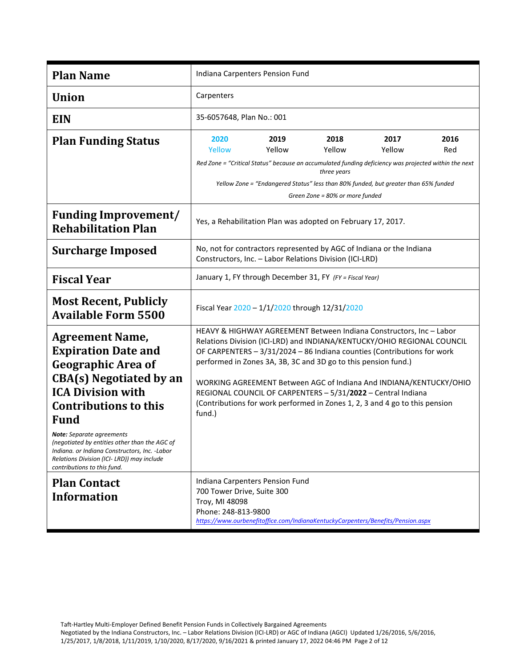| <b>Plan Name</b>                                                                                                                                                                                                                                                                                                                                                                                                  | Indiana Carpenters Pension Fund                                                                                                                                                                                                                                                                                                                                                                                                                                                                                            |                                                |                                                                                                                                                                                                                                                                 |                |             |
|-------------------------------------------------------------------------------------------------------------------------------------------------------------------------------------------------------------------------------------------------------------------------------------------------------------------------------------------------------------------------------------------------------------------|----------------------------------------------------------------------------------------------------------------------------------------------------------------------------------------------------------------------------------------------------------------------------------------------------------------------------------------------------------------------------------------------------------------------------------------------------------------------------------------------------------------------------|------------------------------------------------|-----------------------------------------------------------------------------------------------------------------------------------------------------------------------------------------------------------------------------------------------------------------|----------------|-------------|
| <b>Union</b>                                                                                                                                                                                                                                                                                                                                                                                                      | Carpenters                                                                                                                                                                                                                                                                                                                                                                                                                                                                                                                 |                                                |                                                                                                                                                                                                                                                                 |                |             |
| <b>EIN</b>                                                                                                                                                                                                                                                                                                                                                                                                        | 35-6057648, Plan No.: 001                                                                                                                                                                                                                                                                                                                                                                                                                                                                                                  |                                                |                                                                                                                                                                                                                                                                 |                |             |
| <b>Plan Funding Status</b>                                                                                                                                                                                                                                                                                                                                                                                        | 2020<br>Yellow                                                                                                                                                                                                                                                                                                                                                                                                                                                                                                             | 2019<br>Yellow                                 | 2018<br>Yellow<br>Red Zone = "Critical Status" because an accumulated funding deficiency was projected within the next<br>three years<br>Yellow Zone = "Endangered Status" less than 80% funded, but greater than 65% funded<br>Green Zone = 80% or more funded | 2017<br>Yellow | 2016<br>Red |
| <b>Funding Improvement/</b><br><b>Rehabilitation Plan</b>                                                                                                                                                                                                                                                                                                                                                         | Yes, a Rehabilitation Plan was adopted on February 17, 2017.                                                                                                                                                                                                                                                                                                                                                                                                                                                               |                                                |                                                                                                                                                                                                                                                                 |                |             |
| <b>Surcharge Imposed</b>                                                                                                                                                                                                                                                                                                                                                                                          | No, not for contractors represented by AGC of Indiana or the Indiana<br>Constructors, Inc. - Labor Relations Division (ICI-LRD)                                                                                                                                                                                                                                                                                                                                                                                            |                                                |                                                                                                                                                                                                                                                                 |                |             |
| <b>Fiscal Year</b>                                                                                                                                                                                                                                                                                                                                                                                                | January 1, FY through December 31, FY (FY = Fiscal Year)                                                                                                                                                                                                                                                                                                                                                                                                                                                                   |                                                |                                                                                                                                                                                                                                                                 |                |             |
| <b>Most Recent, Publicly</b><br><b>Available Form 5500</b>                                                                                                                                                                                                                                                                                                                                                        |                                                                                                                                                                                                                                                                                                                                                                                                                                                                                                                            | Fiscal Year 2020 - 1/1/2020 through 12/31/2020 |                                                                                                                                                                                                                                                                 |                |             |
| <b>Agreement Name,</b><br><b>Expiration Date and</b><br><b>Geographic Area of</b><br><b>CBA(s)</b> Negotiated by an<br><b>ICA Division with</b><br><b>Contributions to this</b><br><b>Fund</b><br><b>Note:</b> Separate agreements<br>(negotiated by entities other than the AGC of<br>Indiana. or Indiana Constructors, Inc. -Labor<br>Relations Division (ICI- LRD)) may include<br>contributions to this fund. | HEAVY & HIGHWAY AGREEMENT Between Indiana Constructors, Inc - Labor<br>Relations Division (ICI-LRD) and INDIANA/KENTUCKY/OHIO REGIONAL COUNCIL<br>OF CARPENTERS - 3/31/2024 - 86 Indiana counties (Contributions for work<br>performed in Zones 3A, 3B, 3C and 3D go to this pension fund.)<br>WORKING AGREEMENT Between AGC of Indiana And INDIANA/KENTUCKY/OHIO<br>REGIONAL COUNCIL OF CARPENTERS - 5/31/2022 - Central Indiana<br>(Contributions for work performed in Zones 1, 2, 3 and 4 go to this pension<br>fund.) |                                                |                                                                                                                                                                                                                                                                 |                |             |
| <b>Plan Contact</b><br><b>Information</b>                                                                                                                                                                                                                                                                                                                                                                         | Indiana Carpenters Pension Fund<br>700 Tower Drive, Suite 300<br>Troy, MI 48098<br>Phone: 248-813-9800<br>https://www.ourbenefitoffice.com/IndianaKentuckyCarpenters/Benefits/Pension.aspx                                                                                                                                                                                                                                                                                                                                 |                                                |                                                                                                                                                                                                                                                                 |                |             |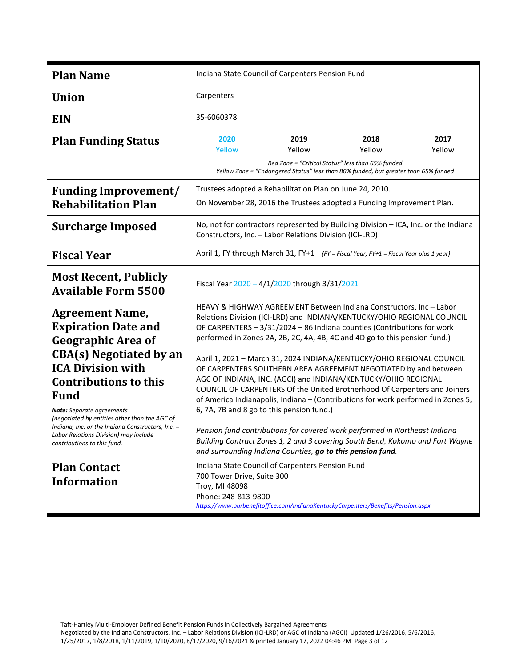| <b>Plan Name</b>                                                                                                                                                                                                                                                                                                                                                                                                 | Indiana State Council of Carpenters Pension Fund                                                                                                                                                                                                                                                                                                                                                                                                                                                                                                                                                                                                                                                                                                                                                                                                                                                                                                                 |                                                                                                                                                            |                |                |
|------------------------------------------------------------------------------------------------------------------------------------------------------------------------------------------------------------------------------------------------------------------------------------------------------------------------------------------------------------------------------------------------------------------|------------------------------------------------------------------------------------------------------------------------------------------------------------------------------------------------------------------------------------------------------------------------------------------------------------------------------------------------------------------------------------------------------------------------------------------------------------------------------------------------------------------------------------------------------------------------------------------------------------------------------------------------------------------------------------------------------------------------------------------------------------------------------------------------------------------------------------------------------------------------------------------------------------------------------------------------------------------|------------------------------------------------------------------------------------------------------------------------------------------------------------|----------------|----------------|
| <b>Union</b>                                                                                                                                                                                                                                                                                                                                                                                                     | Carpenters                                                                                                                                                                                                                                                                                                                                                                                                                                                                                                                                                                                                                                                                                                                                                                                                                                                                                                                                                       |                                                                                                                                                            |                |                |
| <b>EIN</b>                                                                                                                                                                                                                                                                                                                                                                                                       | 35-6060378                                                                                                                                                                                                                                                                                                                                                                                                                                                                                                                                                                                                                                                                                                                                                                                                                                                                                                                                                       |                                                                                                                                                            |                |                |
| <b>Plan Funding Status</b>                                                                                                                                                                                                                                                                                                                                                                                       | 2020<br>Yellow                                                                                                                                                                                                                                                                                                                                                                                                                                                                                                                                                                                                                                                                                                                                                                                                                                                                                                                                                   | 2019<br>Yellow<br>Red Zone = "Critical Status" less than 65% funded<br>Yellow Zone = "Endangered Status" less than 80% funded, but greater than 65% funded | 2018<br>Yellow | 2017<br>Yellow |
| <b>Funding Improvement/</b><br><b>Rehabilitation Plan</b>                                                                                                                                                                                                                                                                                                                                                        | Trustees adopted a Rehabilitation Plan on June 24, 2010.<br>On November 28, 2016 the Trustees adopted a Funding Improvement Plan.                                                                                                                                                                                                                                                                                                                                                                                                                                                                                                                                                                                                                                                                                                                                                                                                                                |                                                                                                                                                            |                |                |
| <b>Surcharge Imposed</b>                                                                                                                                                                                                                                                                                                                                                                                         | No, not for contractors represented by Building Division - ICA, Inc. or the Indiana<br>Constructors, Inc. - Labor Relations Division (ICI-LRD)                                                                                                                                                                                                                                                                                                                                                                                                                                                                                                                                                                                                                                                                                                                                                                                                                   |                                                                                                                                                            |                |                |
| <b>Fiscal Year</b>                                                                                                                                                                                                                                                                                                                                                                                               | April 1, FY through March 31, FY+1 (FY = Fiscal Year, FY+1 = Fiscal Year plus 1 year)                                                                                                                                                                                                                                                                                                                                                                                                                                                                                                                                                                                                                                                                                                                                                                                                                                                                            |                                                                                                                                                            |                |                |
| <b>Most Recent, Publicly</b><br><b>Available Form 5500</b>                                                                                                                                                                                                                                                                                                                                                       | Fiscal Year 2020 - 4/1/2020 through 3/31/2021                                                                                                                                                                                                                                                                                                                                                                                                                                                                                                                                                                                                                                                                                                                                                                                                                                                                                                                    |                                                                                                                                                            |                |                |
| <b>Agreement Name,</b><br><b>Expiration Date and</b><br><b>Geographic Area of</b><br><b>CBA(s)</b> Negotiated by an<br><b>ICA Division with</b><br><b>Contributions to this</b><br><b>Fund</b><br><b>Note:</b> Separate agreements<br>(negotiated by entities other than the AGC of<br>Indiana, Inc. or the Indiana Constructors, Inc. -<br>Labor Relations Division) may include<br>contributions to this fund. | HEAVY & HIGHWAY AGREEMENT Between Indiana Constructors, Inc - Labor<br>Relations Division (ICI-LRD) and INDIANA/KENTUCKY/OHIO REGIONAL COUNCIL<br>OF CARPENTERS - 3/31/2024 - 86 Indiana counties (Contributions for work<br>performed in Zones 2A, 2B, 2C, 4A, 4B, 4C and 4D go to this pension fund.)<br>April 1, 2021 - March 31, 2024 INDIANA/KENTUCKY/OHIO REGIONAL COUNCIL<br>OF CARPENTERS SOUTHERN AREA AGREEMENT NEGOTIATED by and between<br>AGC OF INDIANA, INC. (AGCI) and INDIANA/KENTUCKY/OHIO REGIONAL<br>COUNCIL OF CARPENTERS Of the United Brotherhood Of Carpenters and Joiners<br>of America Indianapolis, Indiana - (Contributions for work performed in Zones 5,<br>6, 7A, 7B and 8 go to this pension fund.)<br>Pension fund contributions for covered work performed in Northeast Indiana<br>Building Contract Zones 1, 2 and 3 covering South Bend, Kokomo and Fort Wayne<br>and surrounding Indiana Counties, go to this pension fund. |                                                                                                                                                            |                |                |
| <b>Plan Contact</b><br><b>Information</b>                                                                                                                                                                                                                                                                                                                                                                        | Indiana State Council of Carpenters Pension Fund<br>700 Tower Drive, Suite 300<br>Troy, MI 48098<br>Phone: 248-813-9800<br>https://www.ourbenefitoffice.com/IndianaKentuckyCarpenters/Benefits/Pension.aspx                                                                                                                                                                                                                                                                                                                                                                                                                                                                                                                                                                                                                                                                                                                                                      |                                                                                                                                                            |                |                |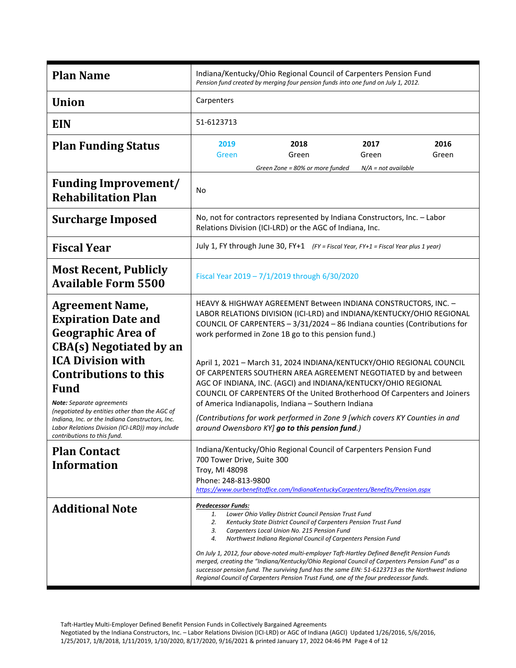| <b>Plan Name</b>                                                                                                                                                                                                                                                                    | Indiana/Kentucky/Ohio Regional Council of Carpenters Pension Fund<br>Pension fund created by merging four pension funds into one fund on July 1, 2012.                                                                                                                                                                                                                                                                                                                                                                                                                                                                                                                                      |  |  |  |
|-------------------------------------------------------------------------------------------------------------------------------------------------------------------------------------------------------------------------------------------------------------------------------------|---------------------------------------------------------------------------------------------------------------------------------------------------------------------------------------------------------------------------------------------------------------------------------------------------------------------------------------------------------------------------------------------------------------------------------------------------------------------------------------------------------------------------------------------------------------------------------------------------------------------------------------------------------------------------------------------|--|--|--|
| <b>Union</b>                                                                                                                                                                                                                                                                        | Carpenters                                                                                                                                                                                                                                                                                                                                                                                                                                                                                                                                                                                                                                                                                  |  |  |  |
| <b>EIN</b>                                                                                                                                                                                                                                                                          | 51-6123713                                                                                                                                                                                                                                                                                                                                                                                                                                                                                                                                                                                                                                                                                  |  |  |  |
| <b>Plan Funding Status</b>                                                                                                                                                                                                                                                          | 2019<br>2018<br>2017<br>2016<br>Green<br>Green<br>Green<br>Green<br>Green Zone = 80% or more funded<br>$N/A$ = not available                                                                                                                                                                                                                                                                                                                                                                                                                                                                                                                                                                |  |  |  |
| <b>Funding Improvement/</b><br><b>Rehabilitation Plan</b>                                                                                                                                                                                                                           | No                                                                                                                                                                                                                                                                                                                                                                                                                                                                                                                                                                                                                                                                                          |  |  |  |
| <b>Surcharge Imposed</b>                                                                                                                                                                                                                                                            | No, not for contractors represented by Indiana Constructors, Inc. - Labor<br>Relations Division (ICI-LRD) or the AGC of Indiana, Inc.                                                                                                                                                                                                                                                                                                                                                                                                                                                                                                                                                       |  |  |  |
| <b>Fiscal Year</b>                                                                                                                                                                                                                                                                  | July 1, FY through June 30, FY+1 (FY = Fiscal Year, FY+1 = Fiscal Year plus 1 year)                                                                                                                                                                                                                                                                                                                                                                                                                                                                                                                                                                                                         |  |  |  |
| <b>Most Recent, Publicly</b><br><b>Available Form 5500</b>                                                                                                                                                                                                                          | Fiscal Year 2019 - 7/1/2019 through 6/30/2020                                                                                                                                                                                                                                                                                                                                                                                                                                                                                                                                                                                                                                               |  |  |  |
| <b>Agreement Name,</b><br><b>Expiration Date and</b><br><b>Geographic Area of</b><br><b>CBA(s)</b> Negotiated by an<br><b>ICA Division with</b><br><b>Contributions to this</b><br><b>Fund</b><br><b>Note:</b> Separate agreements<br>(negotiated by entities other than the AGC of | HEAVY & HIGHWAY AGREEMENT Between INDIANA CONSTRUCTORS, INC. -<br>LABOR RELATIONS DIVISION (ICI-LRD) and INDIANA/KENTUCKY/OHIO REGIONAL<br>COUNCIL OF CARPENTERS - 3/31/2024 - 86 Indiana counties (Contributions for<br>work performed in Zone 1B go to this pension fund.)<br>April 1, 2021 - March 31, 2024 INDIANA/KENTUCKY/OHIO REGIONAL COUNCIL<br>OF CARPENTERS SOUTHERN AREA AGREEMENT NEGOTIATED by and between<br>AGC OF INDIANA, INC. (AGCI) and INDIANA/KENTUCKY/OHIO REGIONAL<br>COUNCIL OF CARPENTERS Of the United Brotherhood Of Carpenters and Joiners<br>of America Indianapolis, Indiana - Southern Indiana                                                              |  |  |  |
| Indiana, Inc. or the Indiana Constructors, Inc.<br>Labor Relations Division (ICI-LRD)) may include<br>contributions to this fund.                                                                                                                                                   | (Contributions for work performed in Zone 9 [which covers KY Counties in and<br>around Owensboro KY] go to this pension fund.)                                                                                                                                                                                                                                                                                                                                                                                                                                                                                                                                                              |  |  |  |
| <b>Plan Contact</b><br><b>Information</b>                                                                                                                                                                                                                                           | Indiana/Kentucky/Ohio Regional Council of Carpenters Pension Fund<br>700 Tower Drive, Suite 300<br>Troy, MI 48098<br>Phone: 248-813-9800<br>https://www.ourbenefitoffice.com/IndianaKentuckyCarpenters/Benefits/Pension.aspx                                                                                                                                                                                                                                                                                                                                                                                                                                                                |  |  |  |
| <b>Additional Note</b>                                                                                                                                                                                                                                                              | <b>Predecessor Funds:</b><br>1.<br>Lower Ohio Valley District Council Pension Trust Fund<br>2.<br>Kentucky State District Council of Carpenters Pension Trust Fund<br>3.<br>Carpenters Local Union No. 215 Pension Fund<br>Northwest Indiana Regional Council of Carpenters Pension Fund<br>4.<br>On July 1, 2012, four above-noted multi-employer Taft-Hartley Defined Benefit Pension Funds<br>merged, creating the "Indiana/Kentucky/Ohio Regional Council of Carpenters Pension Fund" as a<br>successor pension fund. The surviving fund has the same EIN: 51-6123713 as the Northwest Indiana<br>Regional Council of Carpenters Pension Trust Fund, one of the four predecessor funds. |  |  |  |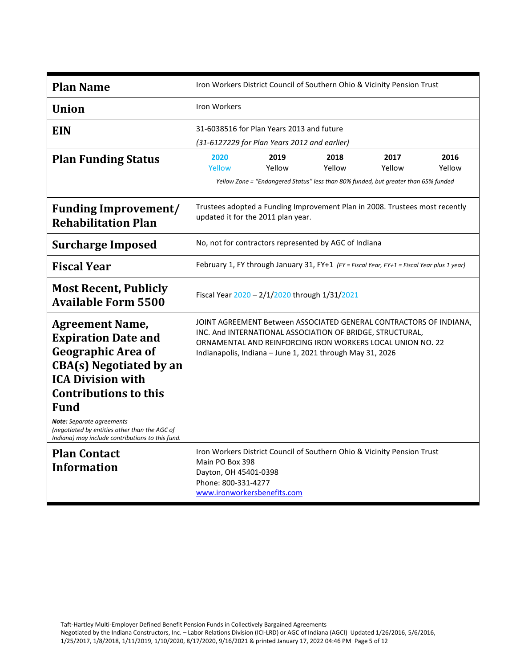| <b>Plan Name</b>                                                                                                                                                                                                                                                                                                                 | Iron Workers District Council of Southern Ohio & Vicinity Pension Trust                                                                                                                                                                                    |                                                                                                       |                |                |                |
|----------------------------------------------------------------------------------------------------------------------------------------------------------------------------------------------------------------------------------------------------------------------------------------------------------------------------------|------------------------------------------------------------------------------------------------------------------------------------------------------------------------------------------------------------------------------------------------------------|-------------------------------------------------------------------------------------------------------|----------------|----------------|----------------|
| <b>Union</b>                                                                                                                                                                                                                                                                                                                     | Iron Workers                                                                                                                                                                                                                                               |                                                                                                       |                |                |                |
| <b>EIN</b>                                                                                                                                                                                                                                                                                                                       |                                                                                                                                                                                                                                                            | 31-6038516 for Plan Years 2013 and future<br>(31-6127229 for Plan Years 2012 and earlier)             |                |                |                |
| <b>Plan Funding Status</b>                                                                                                                                                                                                                                                                                                       | 2020<br>Yellow                                                                                                                                                                                                                                             | 2019<br>Yellow<br>Yellow Zone = "Endangered Status" less than 80% funded, but greater than 65% funded | 2018<br>Yellow | 2017<br>Yellow | 2016<br>Yellow |
| <b>Funding Improvement/</b><br><b>Rehabilitation Plan</b>                                                                                                                                                                                                                                                                        | Trustees adopted a Funding Improvement Plan in 2008. Trustees most recently<br>updated it for the 2011 plan year.                                                                                                                                          |                                                                                                       |                |                |                |
| <b>Surcharge Imposed</b>                                                                                                                                                                                                                                                                                                         | No, not for contractors represented by AGC of Indiana                                                                                                                                                                                                      |                                                                                                       |                |                |                |
| <b>Fiscal Year</b>                                                                                                                                                                                                                                                                                                               | February 1, FY through January 31, FY+1 (FY = Fiscal Year, FY+1 = Fiscal Year plus 1 year)                                                                                                                                                                 |                                                                                                       |                |                |                |
| <b>Most Recent, Publicly</b><br><b>Available Form 5500</b>                                                                                                                                                                                                                                                                       | Fiscal Year 2020 - 2/1/2020 through 1/31/2021                                                                                                                                                                                                              |                                                                                                       |                |                |                |
| <b>Agreement Name,</b><br><b>Expiration Date and</b><br><b>Geographic Area of</b><br><b>CBA(s)</b> Negotiated by an<br><b>ICA Division with</b><br><b>Contributions to this</b><br><b>Fund</b><br>Note: Separate agreements<br>(negotiated by entities other than the AGC of<br>Indiana) may include contributions to this fund. | JOINT AGREEMENT Between ASSOCIATED GENERAL CONTRACTORS OF INDIANA,<br>INC. And INTERNATIONAL ASSOCIATION OF BRIDGE, STRUCTURAL,<br>ORNAMENTAL AND REINFORCING IRON WORKERS LOCAL UNION NO. 22<br>Indianapolis, Indiana - June 1, 2021 through May 31, 2026 |                                                                                                       |                |                |                |
| <b>Plan Contact</b><br><b>Information</b>                                                                                                                                                                                                                                                                                        | Iron Workers District Council of Southern Ohio & Vicinity Pension Trust<br>Main PO Box 398<br>Dayton, OH 45401-0398<br>Phone: 800-331-4277<br>www.ironworkersbenefits.com                                                                                  |                                                                                                       |                |                |                |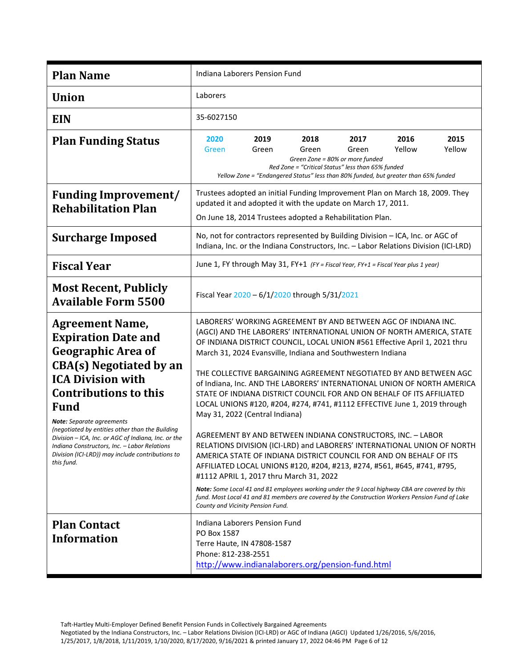| <b>Plan Name</b>                                                                                                                                                                                                                                                                                                                                                                                                                                 | Indiana Laborers Pension Fund                                                                                                                                                                                                                                                                                                                                                                                                                                                                                                                                                                                                                                                                                                                                                                                                                                                                                                                                                                                                                                                                                                                                                                               |  |  |  |
|--------------------------------------------------------------------------------------------------------------------------------------------------------------------------------------------------------------------------------------------------------------------------------------------------------------------------------------------------------------------------------------------------------------------------------------------------|-------------------------------------------------------------------------------------------------------------------------------------------------------------------------------------------------------------------------------------------------------------------------------------------------------------------------------------------------------------------------------------------------------------------------------------------------------------------------------------------------------------------------------------------------------------------------------------------------------------------------------------------------------------------------------------------------------------------------------------------------------------------------------------------------------------------------------------------------------------------------------------------------------------------------------------------------------------------------------------------------------------------------------------------------------------------------------------------------------------------------------------------------------------------------------------------------------------|--|--|--|
| <b>Union</b>                                                                                                                                                                                                                                                                                                                                                                                                                                     | Laborers                                                                                                                                                                                                                                                                                                                                                                                                                                                                                                                                                                                                                                                                                                                                                                                                                                                                                                                                                                                                                                                                                                                                                                                                    |  |  |  |
| <b>EIN</b>                                                                                                                                                                                                                                                                                                                                                                                                                                       | 35-6027150                                                                                                                                                                                                                                                                                                                                                                                                                                                                                                                                                                                                                                                                                                                                                                                                                                                                                                                                                                                                                                                                                                                                                                                                  |  |  |  |
| <b>Plan Funding Status</b>                                                                                                                                                                                                                                                                                                                                                                                                                       | 2019<br>2018<br>2017<br>2016<br>2015<br>2020<br>Yellow<br>Yellow<br>Green<br>Green<br>Green<br>Green<br>Green Zone = 80% or more funded<br>Red Zone = "Critical Status" less than 65% funded<br>Yellow Zone = "Endangered Status" less than 80% funded, but greater than 65% funded                                                                                                                                                                                                                                                                                                                                                                                                                                                                                                                                                                                                                                                                                                                                                                                                                                                                                                                         |  |  |  |
| <b>Funding Improvement/</b><br><b>Rehabilitation Plan</b>                                                                                                                                                                                                                                                                                                                                                                                        | Trustees adopted an initial Funding Improvement Plan on March 18, 2009. They<br>updated it and adopted it with the update on March 17, 2011.<br>On June 18, 2014 Trustees adopted a Rehabilitation Plan.                                                                                                                                                                                                                                                                                                                                                                                                                                                                                                                                                                                                                                                                                                                                                                                                                                                                                                                                                                                                    |  |  |  |
| <b>Surcharge Imposed</b>                                                                                                                                                                                                                                                                                                                                                                                                                         | No, not for contractors represented by Building Division - ICA, Inc. or AGC of<br>Indiana, Inc. or the Indiana Constructors, Inc. - Labor Relations Division (ICI-LRD)                                                                                                                                                                                                                                                                                                                                                                                                                                                                                                                                                                                                                                                                                                                                                                                                                                                                                                                                                                                                                                      |  |  |  |
| <b>Fiscal Year</b>                                                                                                                                                                                                                                                                                                                                                                                                                               | June 1, FY through May 31, FY+1 (FY = Fiscal Year, FY+1 = Fiscal Year plus 1 year)                                                                                                                                                                                                                                                                                                                                                                                                                                                                                                                                                                                                                                                                                                                                                                                                                                                                                                                                                                                                                                                                                                                          |  |  |  |
| <b>Most Recent, Publicly</b><br><b>Available Form 5500</b>                                                                                                                                                                                                                                                                                                                                                                                       | Fiscal Year 2020 - 6/1/2020 through 5/31/2021                                                                                                                                                                                                                                                                                                                                                                                                                                                                                                                                                                                                                                                                                                                                                                                                                                                                                                                                                                                                                                                                                                                                                               |  |  |  |
| <b>Agreement Name,</b><br><b>Expiration Date and</b><br>Geographic Area of<br><b>CBA(s)</b> Negotiated by an<br><b>ICA Division with</b><br><b>Contributions to this</b><br><b>Fund</b><br>Note: Separate agreements<br>(negotiated by entities other than the Building<br>Division - ICA, Inc. or AGC of Indiana, Inc. or the<br>Indiana Constructors, Inc. - Labor Relations<br>Division (ICI-LRD)) may include contributions to<br>this fund. | LABORERS' WORKING AGREEMENT BY AND BETWEEN AGC OF INDIANA INC.<br>(AGCI) AND THE LABORERS' INTERNATIONAL UNION OF NORTH AMERICA, STATE<br>OF INDIANA DISTRICT COUNCIL, LOCAL UNION #561 Effective April 1, 2021 thru<br>March 31, 2024 Evansville, Indiana and Southwestern Indiana<br>THE COLLECTIVE BARGAINING AGREEMENT NEGOTIATED BY AND BETWEEN AGC<br>of Indiana, Inc. AND THE LABORERS' INTERNATIONAL UNION OF NORTH AMERICA<br>STATE OF INDIANA DISTRICT COUNCIL FOR AND ON BEHALF OF ITS AFFILIATED<br>LOCAL UNIONS #120, #204, #274, #741, #1112 EFFECTIVE June 1, 2019 through<br>May 31, 2022 (Central Indiana)<br>AGREEMENT BY AND BETWEEN INDIANA CONSTRUCTORS, INC. - LABOR<br>RELATIONS DIVISION (ICI-LRD) and LABORERS' INTERNATIONAL UNION OF NORTH<br>AMERICA STATE OF INDIANA DISTRICT COUNCIL FOR AND ON BEHALF OF ITS<br>AFFILIATED LOCAL UNIONS #120, #204, #213, #274, #561, #645, #741, #795,<br>#1112 APRIL 1, 2017 thru March 31, 2022<br>Note: Some Local 41 and 81 employees working under the 9 Local highway CBA are covered by this<br>fund. Most Local 41 and 81 members are covered by the Construction Workers Pension Fund of Lake<br>County and Vicinity Pension Fund. |  |  |  |
| <b>Plan Contact</b><br><b>Information</b>                                                                                                                                                                                                                                                                                                                                                                                                        | Indiana Laborers Pension Fund<br>PO Box 1587<br>Terre Haute, IN 47808-1587<br>Phone: 812-238-2551<br>http://www.indianalaborers.org/pension-fund.html                                                                                                                                                                                                                                                                                                                                                                                                                                                                                                                                                                                                                                                                                                                                                                                                                                                                                                                                                                                                                                                       |  |  |  |

Negotiated by the Indiana Constructors, Inc. – Labor Relations Division (ICI-LRD) or AGC of Indiana (AGCI) Updated 1/26/2016, 5/6/2016, 1/25/2017, 1/8/2018, 1/11/2019, 1/10/2020, 8/17/2020, 9/16/2021 & printed January 17, 2022 04:46 PM Page 6 of 12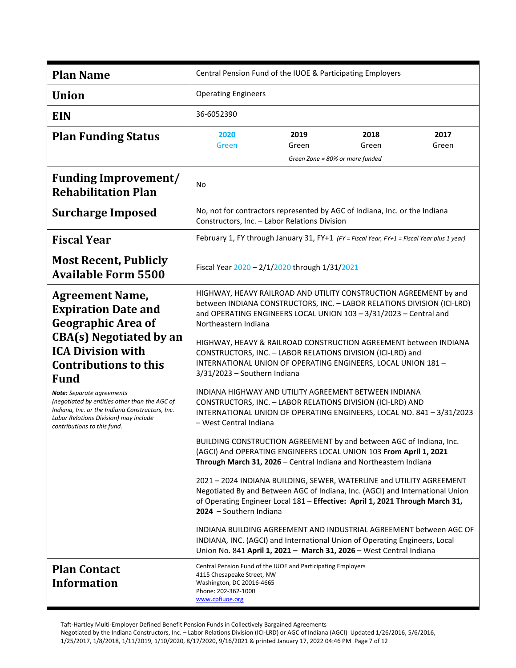| <b>Plan Name</b>                                                                                                                                                                                                                                                                                                                                                                                               | Central Pension Fund of the IUOE & Participating Employers                                                                                                                                                                                                                                                                                                                                                                                                                                                                                                                                                                                                                                                                                                                                                                                                                                                                                                                                                                                                                                                                                                                                                                                                                                                                                        |               |                                                  |               |
|----------------------------------------------------------------------------------------------------------------------------------------------------------------------------------------------------------------------------------------------------------------------------------------------------------------------------------------------------------------------------------------------------------------|---------------------------------------------------------------------------------------------------------------------------------------------------------------------------------------------------------------------------------------------------------------------------------------------------------------------------------------------------------------------------------------------------------------------------------------------------------------------------------------------------------------------------------------------------------------------------------------------------------------------------------------------------------------------------------------------------------------------------------------------------------------------------------------------------------------------------------------------------------------------------------------------------------------------------------------------------------------------------------------------------------------------------------------------------------------------------------------------------------------------------------------------------------------------------------------------------------------------------------------------------------------------------------------------------------------------------------------------------|---------------|--------------------------------------------------|---------------|
| <b>Union</b>                                                                                                                                                                                                                                                                                                                                                                                                   | <b>Operating Engineers</b>                                                                                                                                                                                                                                                                                                                                                                                                                                                                                                                                                                                                                                                                                                                                                                                                                                                                                                                                                                                                                                                                                                                                                                                                                                                                                                                        |               |                                                  |               |
| <b>EIN</b>                                                                                                                                                                                                                                                                                                                                                                                                     | 36-6052390                                                                                                                                                                                                                                                                                                                                                                                                                                                                                                                                                                                                                                                                                                                                                                                                                                                                                                                                                                                                                                                                                                                                                                                                                                                                                                                                        |               |                                                  |               |
| <b>Plan Funding Status</b>                                                                                                                                                                                                                                                                                                                                                                                     | 2020<br>Green                                                                                                                                                                                                                                                                                                                                                                                                                                                                                                                                                                                                                                                                                                                                                                                                                                                                                                                                                                                                                                                                                                                                                                                                                                                                                                                                     | 2019<br>Green | 2018<br>Green<br>Green Zone = 80% or more funded | 2017<br>Green |
| <b>Funding Improvement/</b><br><b>Rehabilitation Plan</b>                                                                                                                                                                                                                                                                                                                                                      | No                                                                                                                                                                                                                                                                                                                                                                                                                                                                                                                                                                                                                                                                                                                                                                                                                                                                                                                                                                                                                                                                                                                                                                                                                                                                                                                                                |               |                                                  |               |
| <b>Surcharge Imposed</b>                                                                                                                                                                                                                                                                                                                                                                                       | No, not for contractors represented by AGC of Indiana, Inc. or the Indiana<br>Constructors, Inc. - Labor Relations Division                                                                                                                                                                                                                                                                                                                                                                                                                                                                                                                                                                                                                                                                                                                                                                                                                                                                                                                                                                                                                                                                                                                                                                                                                       |               |                                                  |               |
| <b>Fiscal Year</b>                                                                                                                                                                                                                                                                                                                                                                                             | February 1, FY through January 31, FY+1 (FY = Fiscal Year, FY+1 = Fiscal Year plus 1 year)                                                                                                                                                                                                                                                                                                                                                                                                                                                                                                                                                                                                                                                                                                                                                                                                                                                                                                                                                                                                                                                                                                                                                                                                                                                        |               |                                                  |               |
| <b>Most Recent, Publicly</b><br><b>Available Form 5500</b>                                                                                                                                                                                                                                                                                                                                                     | Fiscal Year 2020 - 2/1/2020 through 1/31/2021                                                                                                                                                                                                                                                                                                                                                                                                                                                                                                                                                                                                                                                                                                                                                                                                                                                                                                                                                                                                                                                                                                                                                                                                                                                                                                     |               |                                                  |               |
| <b>Agreement Name,</b><br><b>Expiration Date and</b><br><b>Geographic Area of</b><br><b>CBA(s)</b> Negotiated by an<br><b>ICA Division with</b><br><b>Contributions to this</b><br><b>Fund</b><br><b>Note:</b> Separate agreements<br>(negotiated by entities other than the AGC of<br>Indiana, Inc. or the Indiana Constructors, Inc.<br>Labor Relations Division) may include<br>contributions to this fund. | HIGHWAY, HEAVY RAILROAD AND UTILITY CONSTRUCTION AGREEMENT by and<br>between INDIANA CONSTRUCTORS, INC. - LABOR RELATIONS DIVISION (ICI-LRD)<br>and OPERATING ENGINEERS LOCAL UNION 103 - 3/31/2023 - Central and<br>Northeastern Indiana<br>HIGHWAY, HEAVY & RAILROAD CONSTRUCTION AGREEMENT between INDIANA<br>CONSTRUCTORS, INC. - LABOR RELATIONS DIVISION (ICI-LRD) and<br>INTERNATIONAL UNION OF OPERATING ENGINEERS, LOCAL UNION 181 -<br>3/31/2023 - Southern Indiana<br>INDIANA HIGHWAY AND UTILITY AGREEMENT BETWEEN INDIANA<br>CONSTRUCTORS, INC. - LABOR RELATIONS DIVISION (ICI-LRD) AND<br>INTERNATIONAL UNION OF OPERATING ENGINEERS, LOCAL NO. 841 - 3/31/2023<br>- West Central Indiana<br>BUILDING CONSTRUCTION AGREEMENT by and between AGC of Indiana, Inc.<br>(AGCI) And OPERATING ENGINEERS LOCAL UNION 103 From April 1, 2021<br>Through March 31, 2026 - Central Indiana and Northeastern Indiana<br>2021 - 2024 INDIANA BUILDING, SEWER, WATERLINE and UTILITY AGREEMENT<br>Negotiated By and Between AGC of Indiana, Inc. (AGCI) and International Union<br>of Operating Engineer Local 181 - Effective: April 1, 2021 Through March 31,<br>2024 - Southern Indiana<br>INDIANA BUILDING AGREEMENT AND INDUSTRIAL AGREEMENT between AGC OF<br>INDIANA, INC. (AGCI) and International Union of Operating Engineers, Local |               |                                                  |               |
| <b>Plan Contact</b><br><b>Information</b>                                                                                                                                                                                                                                                                                                                                                                      | Central Pension Fund of the IUOE and Participating Employers<br>4115 Chesapeake Street, NW<br>Washington, DC 20016-4665<br>Phone: 202-362-1000<br>www.cpfiuoe.org                                                                                                                                                                                                                                                                                                                                                                                                                                                                                                                                                                                                                                                                                                                                                                                                                                                                                                                                                                                                                                                                                                                                                                                 |               |                                                  |               |

Negotiated by the Indiana Constructors, Inc. – Labor Relations Division (ICI-LRD) or AGC of Indiana (AGCI) Updated 1/26/2016, 5/6/2016, 1/25/2017, 1/8/2018, 1/11/2019, 1/10/2020, 8/17/2020, 9/16/2021 & printed January 17, 2022 04:46 PM Page 7 of 12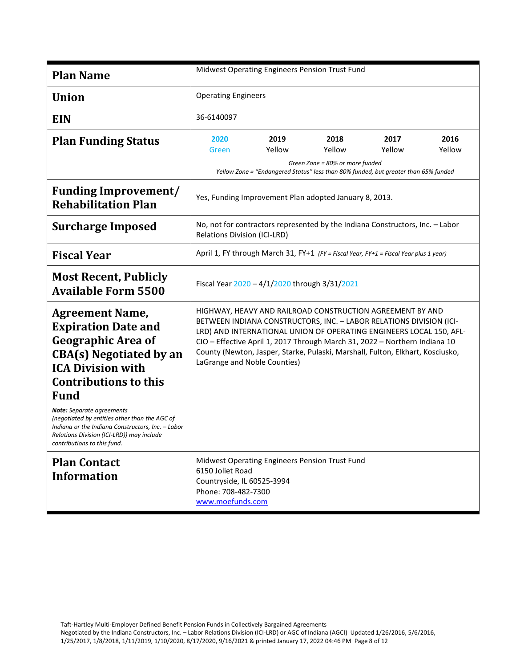| <b>Plan Name</b>                                                                                                                                                                                                                                                                                                                                                                                                     | Midwest Operating Engineers Pension Trust Fund                                                                       |                |                                                                                                                                                                                                                                                                                                                                                                         |                |                |
|----------------------------------------------------------------------------------------------------------------------------------------------------------------------------------------------------------------------------------------------------------------------------------------------------------------------------------------------------------------------------------------------------------------------|----------------------------------------------------------------------------------------------------------------------|----------------|-------------------------------------------------------------------------------------------------------------------------------------------------------------------------------------------------------------------------------------------------------------------------------------------------------------------------------------------------------------------------|----------------|----------------|
| <b>Union</b>                                                                                                                                                                                                                                                                                                                                                                                                         | <b>Operating Engineers</b>                                                                                           |                |                                                                                                                                                                                                                                                                                                                                                                         |                |                |
| <b>EIN</b>                                                                                                                                                                                                                                                                                                                                                                                                           | 36-6140097                                                                                                           |                |                                                                                                                                                                                                                                                                                                                                                                         |                |                |
| <b>Plan Funding Status</b>                                                                                                                                                                                                                                                                                                                                                                                           | 2020<br>Green                                                                                                        | 2019<br>Yellow | 2018<br>Yellow<br>Green Zone = 80% or more funded<br>Yellow Zone = "Endangered Status" less than 80% funded, but greater than 65% funded                                                                                                                                                                                                                                | 2017<br>Yellow | 2016<br>Yellow |
| <b>Funding Improvement/</b><br><b>Rehabilitation Plan</b>                                                                                                                                                                                                                                                                                                                                                            | Yes, Funding Improvement Plan adopted January 8, 2013.                                                               |                |                                                                                                                                                                                                                                                                                                                                                                         |                |                |
| <b>Surcharge Imposed</b>                                                                                                                                                                                                                                                                                                                                                                                             | No, not for contractors represented by the Indiana Constructors, Inc. - Labor<br><b>Relations Division (ICI-LRD)</b> |                |                                                                                                                                                                                                                                                                                                                                                                         |                |                |
| <b>Fiscal Year</b>                                                                                                                                                                                                                                                                                                                                                                                                   | April 1, FY through March 31, FY+1 (FY = Fiscal Year, FY+1 = Fiscal Year plus 1 year)                                |                |                                                                                                                                                                                                                                                                                                                                                                         |                |                |
| <b>Most Recent, Publicly</b><br><b>Available Form 5500</b>                                                                                                                                                                                                                                                                                                                                                           | Fiscal Year 2020 - 4/1/2020 through 3/31/2021                                                                        |                |                                                                                                                                                                                                                                                                                                                                                                         |                |                |
| <b>Agreement Name,</b><br><b>Expiration Date and</b><br><b>Geographic Area of</b><br><b>CBA(s)</b> Negotiated by an<br><b>ICA Division with</b><br><b>Contributions to this</b><br><b>Fund</b><br><b>Note:</b> Separate agreements<br>(negotiated by entities other than the AGC of<br>Indiana or the Indiana Constructors, Inc. - Labor<br>Relations Division (ICI-LRD)) may include<br>contributions to this fund. | LaGrange and Noble Counties)                                                                                         |                | HIGHWAY, HEAVY AND RAILROAD CONSTRUCTION AGREEMENT BY AND<br>BETWEEN INDIANA CONSTRUCTORS, INC. - LABOR RELATIONS DIVISION (ICI-<br>LRD) AND INTERNATIONAL UNION OF OPERATING ENGINEERS LOCAL 150, AFL-<br>CIO - Effective April 1, 2017 Through March 31, 2022 - Northern Indiana 10<br>County (Newton, Jasper, Starke, Pulaski, Marshall, Fulton, Elkhart, Kosciusko, |                |                |
| <b>Plan Contact</b><br><b>Information</b>                                                                                                                                                                                                                                                                                                                                                                            | 6150 Joliet Road<br>Countryside, IL 60525-3994<br>Phone: 708-482-7300<br>www.moefunds.com                            |                | Midwest Operating Engineers Pension Trust Fund                                                                                                                                                                                                                                                                                                                          |                |                |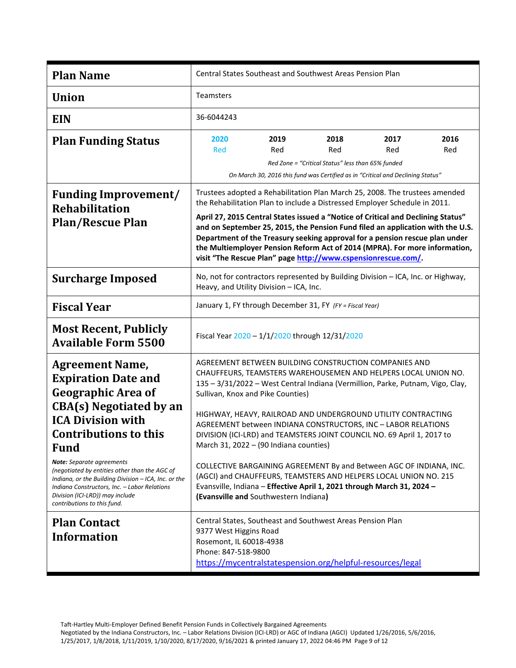| <b>Plan Name</b>                                                                                                                                                                                                                                                                                                                                                                                                               | <b>Central States Southeast and Southwest Areas Pension Plan</b>                                                                                                                                                                                                                                                                                                                                                                                                                                                                                                                                                                                                                                                                                                  |  |  |  |
|--------------------------------------------------------------------------------------------------------------------------------------------------------------------------------------------------------------------------------------------------------------------------------------------------------------------------------------------------------------------------------------------------------------------------------|-------------------------------------------------------------------------------------------------------------------------------------------------------------------------------------------------------------------------------------------------------------------------------------------------------------------------------------------------------------------------------------------------------------------------------------------------------------------------------------------------------------------------------------------------------------------------------------------------------------------------------------------------------------------------------------------------------------------------------------------------------------------|--|--|--|
| <b>Union</b>                                                                                                                                                                                                                                                                                                                                                                                                                   | <b>Teamsters</b>                                                                                                                                                                                                                                                                                                                                                                                                                                                                                                                                                                                                                                                                                                                                                  |  |  |  |
| <b>EIN</b>                                                                                                                                                                                                                                                                                                                                                                                                                     | 36-6044243                                                                                                                                                                                                                                                                                                                                                                                                                                                                                                                                                                                                                                                                                                                                                        |  |  |  |
| <b>Plan Funding Status</b>                                                                                                                                                                                                                                                                                                                                                                                                     | 2016<br>2019<br>2018<br>2017<br>2020<br><b>Red</b><br>Red<br>Red<br>Red<br>Red<br>Red Zone = "Critical Status" less than 65% funded<br>On March 30, 2016 this fund was Certified as in "Critical and Declining Status"                                                                                                                                                                                                                                                                                                                                                                                                                                                                                                                                            |  |  |  |
| <b>Funding Improvement/</b><br><b>Rehabilitation</b><br><b>Plan/Rescue Plan</b>                                                                                                                                                                                                                                                                                                                                                | Trustees adopted a Rehabilitation Plan March 25, 2008. The trustees amended<br>the Rehabilitation Plan to include a Distressed Employer Schedule in 2011.<br>April 27, 2015 Central States issued a "Notice of Critical and Declining Status"<br>and on September 25, 2015, the Pension Fund filed an application with the U.S.<br>Department of the Treasury seeking approval for a pension rescue plan under<br>the Multiemployer Pension Reform Act of 2014 (MPRA). For more information,<br>visit "The Rescue Plan" page http://www.cspensionrescue.com/                                                                                                                                                                                                      |  |  |  |
| <b>Surcharge Imposed</b>                                                                                                                                                                                                                                                                                                                                                                                                       | No, not for contractors represented by Building Division - ICA, Inc. or Highway,<br>Heavy, and Utility Division - ICA, Inc.                                                                                                                                                                                                                                                                                                                                                                                                                                                                                                                                                                                                                                       |  |  |  |
| <b>Fiscal Year</b>                                                                                                                                                                                                                                                                                                                                                                                                             | January 1, FY through December 31, FY (FY = Fiscal Year)                                                                                                                                                                                                                                                                                                                                                                                                                                                                                                                                                                                                                                                                                                          |  |  |  |
| <b>Most Recent, Publicly</b><br><b>Available Form 5500</b>                                                                                                                                                                                                                                                                                                                                                                     | Fiscal Year 2020 - 1/1/2020 through 12/31/2020                                                                                                                                                                                                                                                                                                                                                                                                                                                                                                                                                                                                                                                                                                                    |  |  |  |
| <b>Agreement Name,</b><br><b>Expiration Date and</b><br><b>Geographic Area of</b><br><b>CBA(s)</b> Negotiated by an<br><b>ICA Division with</b><br><b>Contributions to this</b><br><b>Fund</b><br><b>Note:</b> Separate agreements<br>(negotiated by entities other than the AGC of<br>Indiana, or the Building Division - ICA, Inc. or the<br>Indiana Constructors, Inc. - Labor Relations<br>Division (ICI-LRD)) may include | AGREEMENT BETWEEN BUILDING CONSTRUCTION COMPANIES AND<br>CHAUFFEURS, TEAMSTERS WAREHOUSEMEN AND HELPERS LOCAL UNION NO.<br>135 - 3/31/2022 - West Central Indiana (Vermillion, Parke, Putnam, Vigo, Clay,<br>Sullivan, Knox and Pike Counties)<br>HIGHWAY, HEAVY, RAILROAD AND UNDERGROUND UTILITY CONTRACTING<br>AGREEMENT between INDIANA CONSTRUCTORS, INC - LABOR RELATIONS<br>DIVISION (ICI-LRD) and TEAMSTERS JOINT COUNCIL NO. 69 April 1, 2017 to<br>March 31, 2022 - (90 Indiana counties)<br>COLLECTIVE BARGAINING AGREEMENT By and Between AGC OF INDIANA, INC.<br>(AGCI) and CHAUFFEURS, TEAMSTERS AND HELPERS LOCAL UNION NO. 215<br>Evansville, Indiana - Effective April 1, 2021 through March 31, 2024 -<br>(Evansville and Southwestern Indiana) |  |  |  |
| contributions to this fund.<br><b>Plan Contact</b><br><b>Information</b>                                                                                                                                                                                                                                                                                                                                                       | Central States, Southeast and Southwest Areas Pension Plan<br>9377 West Higgins Road<br>Rosemont, IL 60018-4938<br>Phone: 847-518-9800<br>https://mycentralstatespension.org/helpful-resources/legal                                                                                                                                                                                                                                                                                                                                                                                                                                                                                                                                                              |  |  |  |

Negotiated by the Indiana Constructors, Inc. – Labor Relations Division (ICI-LRD) or AGC of Indiana (AGCI) Updated 1/26/2016, 5/6/2016, 1/25/2017, 1/8/2018, 1/11/2019, 1/10/2020, 8/17/2020, 9/16/2021 & printed January 17, 2022 04:46 PM Page 9 of 12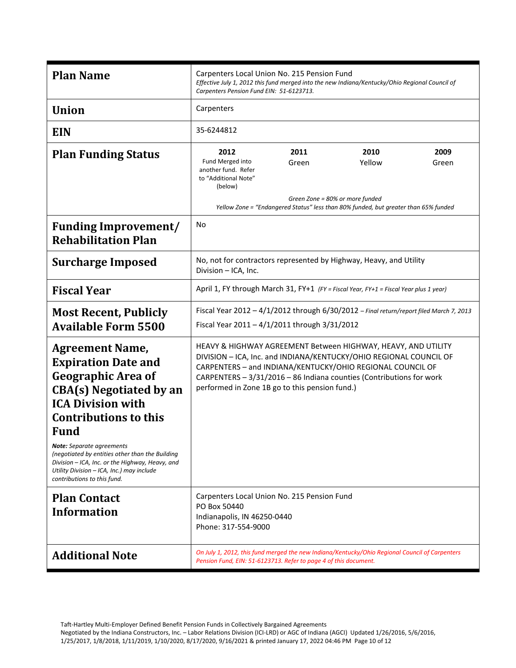| <b>Plan Name</b>                                                                                                                                                                                                                                                                                                                                                                                                     | Carpenters Local Union No. 215 Pension Fund<br>Effective July 1, 2012 this fund merged into the new Indiana/Kentucky/Ohio Regional Council of<br>Carpenters Pension Fund EIN: 51-6123713.                                                                                                                                   |                                                  |                                                                                                       |               |
|----------------------------------------------------------------------------------------------------------------------------------------------------------------------------------------------------------------------------------------------------------------------------------------------------------------------------------------------------------------------------------------------------------------------|-----------------------------------------------------------------------------------------------------------------------------------------------------------------------------------------------------------------------------------------------------------------------------------------------------------------------------|--------------------------------------------------|-------------------------------------------------------------------------------------------------------|---------------|
| <b>Union</b>                                                                                                                                                                                                                                                                                                                                                                                                         | Carpenters                                                                                                                                                                                                                                                                                                                  |                                                  |                                                                                                       |               |
| <b>EIN</b>                                                                                                                                                                                                                                                                                                                                                                                                           | 35-6244812                                                                                                                                                                                                                                                                                                                  |                                                  |                                                                                                       |               |
| <b>Plan Funding Status</b>                                                                                                                                                                                                                                                                                                                                                                                           | 2012<br>Fund Merged into<br>another fund. Refer<br>to "Additional Note"<br>(below)                                                                                                                                                                                                                                          | 2011<br>Green<br>Green Zone = 80% or more funded | 2010<br>Yellow<br>Yellow Zone = "Endangered Status" less than 80% funded, but greater than 65% funded | 2009<br>Green |
| <b>Funding Improvement/</b><br><b>Rehabilitation Plan</b>                                                                                                                                                                                                                                                                                                                                                            | No                                                                                                                                                                                                                                                                                                                          |                                                  |                                                                                                       |               |
| <b>Surcharge Imposed</b>                                                                                                                                                                                                                                                                                                                                                                                             | No, not for contractors represented by Highway, Heavy, and Utility<br>Division - ICA, Inc.                                                                                                                                                                                                                                  |                                                  |                                                                                                       |               |
| <b>Fiscal Year</b>                                                                                                                                                                                                                                                                                                                                                                                                   | April 1, FY through March 31, FY+1 (FY = Fiscal Year, FY+1 = Fiscal Year plus 1 year)                                                                                                                                                                                                                                       |                                                  |                                                                                                       |               |
| <b>Most Recent, Publicly</b><br><b>Available Form 5500</b>                                                                                                                                                                                                                                                                                                                                                           | Fiscal Year 2012 - 4/1/2012 through 6/30/2012 - Final return/report filed March 7, 2013<br>Fiscal Year 2011 - 4/1/2011 through 3/31/2012                                                                                                                                                                                    |                                                  |                                                                                                       |               |
| <b>Agreement Name,</b><br><b>Expiration Date and</b><br><b>Geographic Area of</b><br><b>CBA(s)</b> Negotiated by an<br><b>ICA Division with</b><br><b>Contributions to this</b><br><b>Fund</b><br><b>Note:</b> Separate agreements<br>(negotiated by entities other than the Building<br>Division - ICA, Inc. or the Highway, Heavy, and<br>Utility Division - ICA, Inc.) may include<br>contributions to this fund. | HEAVY & HIGHWAY AGREEMENT Between HIGHWAY, HEAVY, AND UTILITY<br>DIVISION - ICA, Inc. and INDIANA/KENTUCKY/OHIO REGIONAL COUNCIL OF<br>CARPENTERS - and INDIANA/KENTUCKY/OHIO REGIONAL COUNCIL OF<br>CARPENTERS - 3/31/2016 - 86 Indiana counties (Contributions for work<br>performed in Zone 1B go to this pension fund.) |                                                  |                                                                                                       |               |
| <b>Plan Contact</b><br><b>Information</b>                                                                                                                                                                                                                                                                                                                                                                            | Carpenters Local Union No. 215 Pension Fund<br>PO Box 50440<br>Indianapolis, IN 46250-0440<br>Phone: 317-554-9000                                                                                                                                                                                                           |                                                  |                                                                                                       |               |
| <b>Additional Note</b>                                                                                                                                                                                                                                                                                                                                                                                               | On July 1, 2012, this fund merged the new Indiana/Kentucky/Ohio Regional Council of Carpenters<br>Pension Fund, EIN: 51-6123713. Refer to page 4 of this document.                                                                                                                                                          |                                                  |                                                                                                       |               |

Negotiated by the Indiana Constructors, Inc. – Labor Relations Division (ICI-LRD) or AGC of Indiana (AGCI) Updated 1/26/2016, 5/6/2016, 1/25/2017, 1/8/2018, 1/11/2019, 1/10/2020, 8/17/2020, 9/16/2021 & printed January 17, 2022 04:46 PM Page 10 of 12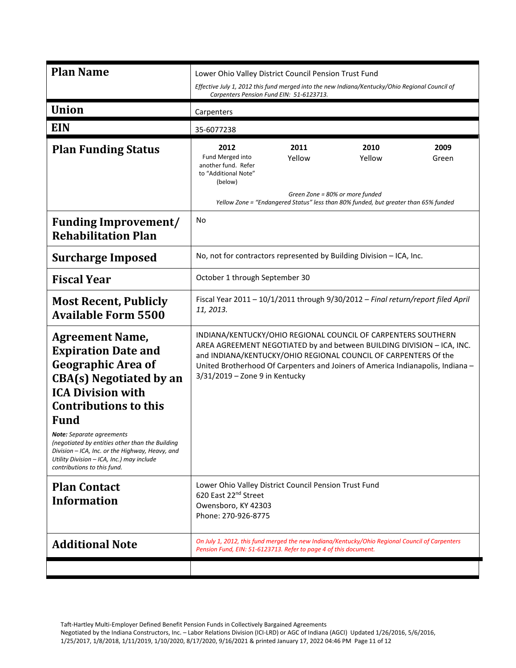| <b>Plan Name</b>                                                                                                                                                                                                                                                                                                                                                                                                     | Lower Ohio Valley District Council Pension Trust Fund<br>Effective July 1, 2012 this fund merged into the new Indiana/Kentucky/Ohio Regional Council of<br>Carpenters Pension Fund EIN: 51-6123713.                                                                                                                             |  |  |
|----------------------------------------------------------------------------------------------------------------------------------------------------------------------------------------------------------------------------------------------------------------------------------------------------------------------------------------------------------------------------------------------------------------------|---------------------------------------------------------------------------------------------------------------------------------------------------------------------------------------------------------------------------------------------------------------------------------------------------------------------------------|--|--|
| <b>Union</b>                                                                                                                                                                                                                                                                                                                                                                                                         | Carpenters                                                                                                                                                                                                                                                                                                                      |  |  |
| <b>EIN</b>                                                                                                                                                                                                                                                                                                                                                                                                           | 35-6077238                                                                                                                                                                                                                                                                                                                      |  |  |
| <b>Plan Funding Status</b>                                                                                                                                                                                                                                                                                                                                                                                           | 2010<br>2012<br>2011<br>2009<br>Fund Merged into<br>Yellow<br>Yellow<br>Green<br>another fund. Refer<br>to "Additional Note"<br>(below)<br>Green Zone = 80% or more funded<br>Yellow Zone = "Endangered Status" less than 80% funded, but greater than 65% funded                                                               |  |  |
| <b>Funding Improvement/</b><br><b>Rehabilitation Plan</b>                                                                                                                                                                                                                                                                                                                                                            | No                                                                                                                                                                                                                                                                                                                              |  |  |
| <b>Surcharge Imposed</b>                                                                                                                                                                                                                                                                                                                                                                                             | No, not for contractors represented by Building Division - ICA, Inc.                                                                                                                                                                                                                                                            |  |  |
| <b>Fiscal Year</b>                                                                                                                                                                                                                                                                                                                                                                                                   | October 1 through September 30                                                                                                                                                                                                                                                                                                  |  |  |
| <b>Most Recent, Publicly</b><br><b>Available Form 5500</b>                                                                                                                                                                                                                                                                                                                                                           | Fiscal Year 2011 - 10/1/2011 through 9/30/2012 - Final return/report filed April<br>11, 2013.                                                                                                                                                                                                                                   |  |  |
| <b>Agreement Name,</b><br><b>Expiration Date and</b><br><b>Geographic Area of</b><br><b>CBA(s)</b> Negotiated by an<br><b>ICA Division with</b><br><b>Contributions to this</b><br><b>Fund</b><br><b>Note:</b> Separate agreements<br>(negotiated by entities other than the Building<br>Division - ICA, Inc. or the Highway, Heavy, and<br>Utility Division - ICA, Inc.) may include<br>contributions to this fund. | INDIANA/KENTUCKY/OHIO REGIONAL COUNCIL OF CARPENTERS SOUTHERN<br>AREA AGREEMENT NEGOTIATED by and between BUILDING DIVISION - ICA, INC.<br>and INDIANA/KENTUCKY/OHIO REGIONAL COUNCIL OF CARPENTERS Of the<br>United Brotherhood Of Carpenters and Joiners of America Indianapolis, Indiana -<br>3/31/2019 - Zone 9 in Kentucky |  |  |
| <b>Plan Contact</b><br><b>Information</b>                                                                                                                                                                                                                                                                                                                                                                            | Lower Ohio Valley District Council Pension Trust Fund<br>620 East 22nd Street<br>Owensboro, KY 42303<br>Phone: 270-926-8775                                                                                                                                                                                                     |  |  |
| <b>Additional Note</b>                                                                                                                                                                                                                                                                                                                                                                                               | On July 1, 2012, this fund merged the new Indiana/Kentucky/Ohio Regional Council of Carpenters<br>Pension Fund, EIN: 51-6123713. Refer to page 4 of this document.                                                                                                                                                              |  |  |
|                                                                                                                                                                                                                                                                                                                                                                                                                      |                                                                                                                                                                                                                                                                                                                                 |  |  |

Negotiated by the Indiana Constructors, Inc. – Labor Relations Division (ICI-LRD) or AGC of Indiana (AGCI) Updated 1/26/2016, 5/6/2016, 1/25/2017, 1/8/2018, 1/11/2019, 1/10/2020, 8/17/2020, 9/16/2021 & printed January 17, 2022 04:46 PM Page 11 of 12